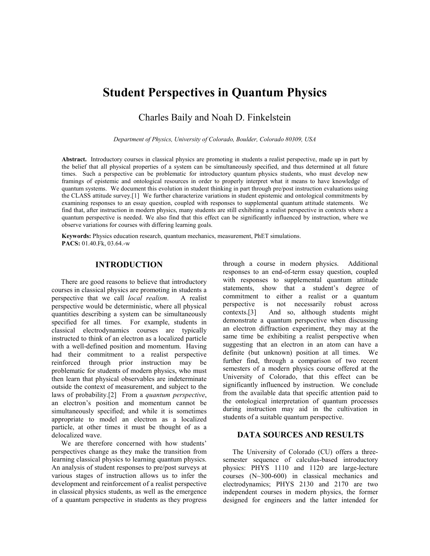# **Student Perspectives in Quantum Physics**

Charles Baily and Noah D. Finkelstein

*Department of Physics, University of Colorado, Boulder, Colorado 80309, USA*

**Abstract.** Introductory courses in classical physics are promoting in students a realist perspective, made up in part by the belief that all physical properties of a system can be simultaneously specified, and thus determined at all future times. Such a perspective can be problematic for introductory quantum physics students, who must develop new framings of epistemic and ontological resources in order to properly interpret what it means to have knowledge of quantum systems. We document this evolution in student thinking in part through pre/post instruction evaluations using the CLASS attitude survey.[1] We further characterize variations in student epistemic and ontological commitments by examining responses to an essay question, coupled with responses to supplemental quantum attitude statements. We find that, after instruction in modern physics, many students are still exhibiting a realist perspective in contexts where a quantum perspective is needed. We also find that this effect can be significantly influenced by instruction, where we observe variations for courses with differing learning goals.

**Keywords:** Physics education research, quantum mechanics, measurement, PhET simulations. **PACS:** 01.40.Fk, 03.64.-w

# **INTRODUCTION**

There are good reasons to believe that introductory courses in classical physics are promoting in students a perspective that we call *local realism*. A realist perspective that we call *local realism*. perspective would be deterministic, where all physical quantities describing a system can be simultaneously specified for all times. For example, students in classical electrodynamics courses are typically instructed to think of an electron as a localized particle with a well-defined position and momentum. Having had their commitment to a realist perspective reinforced through prior instruction may be problematic for students of modern physics, who must then learn that physical observables are indeterminate outside the context of measurement, and subject to the laws of probability.[2] From a *quantum perspective*, an electron's position and momentum cannot be simultaneously specified; and while it is sometimes appropriate to model an electron as a localized particle, at other times it must be thought of as a delocalized wave.

We are therefore concerned with how students' perspectives change as they make the transition from learning classical physics to learning quantum physics. An analysis of student responses to pre/post surveys at various stages of instruction allows us to infer the development and reinforcement of a realist perspective in classical physics students, as well as the emergence of a quantum perspective in students as they progress through a course in modern physics. Additional responses to an end-of-term essay question, coupled with responses to supplemental quantum attitude statements, show that a student's degree of commitment to either a realist or a quantum perspective is not necessarily robust across contexts.[3] And so, although students might demonstrate a quantum perspective when discussing an electron diffraction experiment, they may at the same time be exhibiting a realist perspective when suggesting that an electron in an atom can have a definite (but unknown) position at all times. We further find, through a comparison of two recent semesters of a modern physics course offered at the University of Colorado, that this effect can be significantly influenced by instruction. We conclude from the available data that specific attention paid to the ontological interpretation of quantum processes during instruction may aid in the cultivation in students of a suitable quantum perspective.

## **DATA SOURCES AND RESULTS**

The University of Colorado (CU) offers a threesemester sequence of calculus-based introductory physics: PHYS 1110 and 1120 are large-lecture courses (N~300-600) in classical mechanics and electrodynamics; PHYS 2130 and 2170 are two independent courses in modern physics, the former designed for engineers and the latter intended for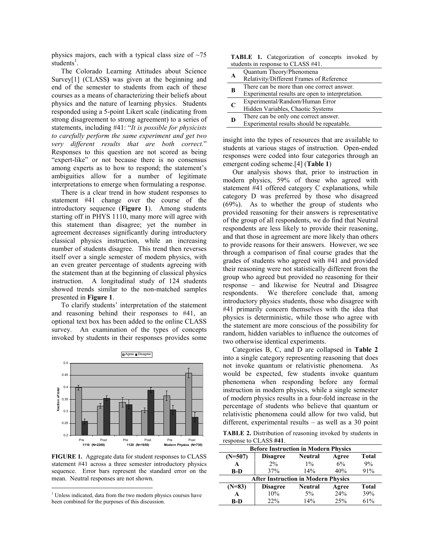physics majors, each with a typical class size of  $\sim$ 75  $students^1$ .

The Colorado Learning Attitudes about Science Survey<sup>[1]</sup> (CLASS) was given at the beginning and end of the semester to students from each of these courses as a means of characterizing their beliefs about physics and the nature of learning physics. Students responded using a 5-point Likert scale (indicating from strong disagreement to strong agreement) to a series of statements, including #41: "*It is possible for physicists to carefully perform the same experiment and get two very different results that are both correct.*" Responses to this question are not scored as being "expert-like" or not because there is no consensus among experts as to how to respond; the statement's ambiguities allow for a number of legitimate interpretations to emerge when formulating a response.

There is a clear trend in how student responses to statement #41 change over the course of the introductory sequence (**Figure 1**). Among students starting off in PHYS 1110, many more will agree with this statement than disagree; yet the number in agreement decreases significantly during introductory classical physics instruction, while an increasing number of students disagree. This trend then reverses itself over a single semester of modern physics, with an even greater percentage of students agreeing with the statement than at the beginning of classical physics instruction. A longitudinal study of 124 students showed trends similar to the non-matched samples presented in **Figure 1**.

To clarify students' interpretation of the statement and reasoning behind their responses to #41, an optional text box has been added to the online CLASS survey. An examination of the types of concepts invoked by students in their responses provides some



**FIGURE 1.** Aggregate data for student responses to CLASS statement #41 across a three semester introductory physics sequence. Error bars represent the standard error on the mean. Neutral responses are not shown.

<u>.</u>

**TABLE 1.** Categorization of concepts invoked by students in response to CLASS #41.

|   | Quantum Theory/Phenomena                         |
|---|--------------------------------------------------|
| A | Relativity/Different Frames of Reference         |
| В | There can be more than one correct answer.       |
|   | Experimental results are open to interpretation. |
| C | Experimental/Random/Human Error                  |
|   | Hidden Variables, Chaotic Systems                |
| D | There can be only one correct answer.            |
|   | Experimental results should be repeatable.       |
|   |                                                  |

insight into the types of resources that are available to students at various stages of instruction. Open-ended responses were coded into four categories through an emergent coding scheme.[4] (**Table 1**)

Our analysis shows that, prior to instruction in modern physics, 59% of those who agreed with statement #41 offered category C explanations, while category D was preferred by those who disagreed (69%). As to whether the group of students who provided reasoning for their answers is representative of the group of all respondents, we do find that Neutral respondents are less likely to provide their reasoning, and that those in agreement are more likely than others to provide reasons for their answers. However, we see through a comparison of final course grades that the grades of students who agreed with #41 and provided their reasoning were not statistically different from the group who agreed but provided no reasoning for their response – and likewise for Neutral and Disagree respondents. We therefore conclude that, among introductory physics students, those who disagree with #41 primarily concern themselves with the idea that physics is deterministic, while those who agree with the statement are more conscious of the possibility for random, hidden variables to influence the outcomes of two otherwise identical experiments.

Categories B, C, and D are collapsed in **Table 2** into a single category representing reasoning that does not invoke quantum or relativistic phenomena. As would be expected, few students invoke quantum phenomena when responding before any formal instruction in modern physics, while a single semester of modern physics results in a four-fold increase in the percentage of students who believe that quantum or relativistic phenomena could allow for two valid, but different, experimental results – as well as a 30 point

**TABLE 2.** Distribution of reasoning invoked by students in response to CLASS **#41**.

| <b>Before Instruction in Modern Physics</b> |                 |                |         |              |  |  |
|---------------------------------------------|-----------------|----------------|---------|--------------|--|--|
| $(N=507)$                                   | <b>Disagree</b> | <b>Neutral</b> | Agree   | <b>Total</b> |  |  |
| A                                           | $2\%$           | $1\%$          | 6%      | 9%           |  |  |
| <b>B-D</b>                                  | 37%             | 14%            | 40%     | 91%          |  |  |
| <b>After Instruction in Modern Physics</b>  |                 |                |         |              |  |  |
| $(N=83)$                                    | <b>Disagree</b> | <b>Neutral</b> | Agree   | <b>Total</b> |  |  |
| $\mathbf{A}$                                | 10%             | $5\%$          | $2.4\%$ | 39%          |  |  |
| B-D                                         | 22%             | 14%            | $2.5\%$ | 61%          |  |  |

<sup>&</sup>lt;sup>1</sup> Unless indicated, data from the two modern physics courses have been combined for the purposes of this discussion.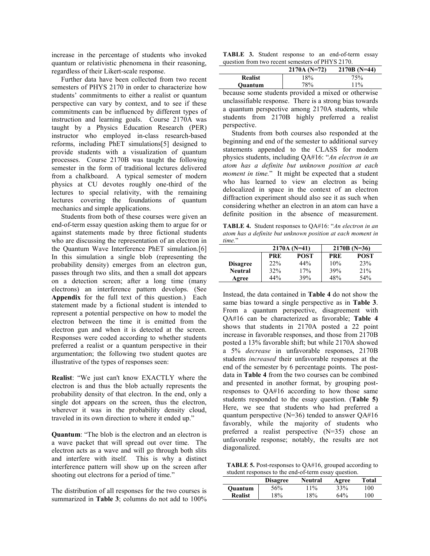increase in the percentage of students who invoked quantum or relativistic phenomena in their reasoning, regardless of their Likert-scale response.

Further data have been collected from two recent semesters of PHYS 2170 in order to characterize how students' commitments to either a realist or quantum perspective can vary by context, and to see if these commitments can be influenced by different types of instruction and learning goals. Course 2170A was taught by a Physics Education Research (PER) instructor who employed in-class research-based reforms, including PhET simulations[5] designed to provide students with a visualization of quantum processes. Course 2170B was taught the following semester in the form of traditional lectures delivered from a chalkboard. A typical semester of modern physics at CU devotes roughly one-third of the lectures to special relativity, with the remaining lectures covering the foundations of quantum mechanics and simple applications.

Students from both of these courses were given an end-of-term essay question asking them to argue for or against statements made by three fictional students who are discussing the representation of an electron in the Quantum Wave Interference PhET simulation.[6] In this simulation a single blob (representing the probability density) emerges from an electron gun, passes through two slits, and then a small dot appears on a detection screen; after a long time (many electrons) an interference pattern develops. (See **Appendix** for the full text of this question.) Each statement made by a fictional student is intended to represent a potential perspective on how to model the electron between the time it is emitted from the electron gun and when it is detected at the screen. Responses were coded according to whether students preferred a realist or a quantum perspective in their argumentation; the following two student quotes are illustrative of the types of responses seen:

**Realist**: "We just can't know EXACTLY where the electron is and thus the blob actually represents the probability density of that electron. In the end, only a single dot appears on the screen, thus the electron, wherever it was in the probability density cloud, traveled in its own direction to where it ended up."

**Quantum**: "The blob is the electron and an electron is a wave packet that will spread out over time. The electron acts as a wave and will go through both slits and interfere with itself. This is why a distinct interference pattern will show up on the screen after shooting out electrons for a period of time."

The distribution of all responses for the two courses is summarized in **Table 3**; columns do not add to 100%

**TABLE 3.** Student response to an end-of-term essay question from two recent semesters of PHYS 2170.

| $2170A (N=72)$               | $2170B(N=44)$ |
|------------------------------|---------------|
| 18%<br>75%<br><b>Realist</b> |               |
| 78%<br>$11\%$<br>Ouantum     |               |

because some students provided a mixed or otherwise unclassifiable response. There is a strong bias towards a quantum perspective among 2170A students, while students from 2170B highly preferred a realist perspective.

 Students from both courses also responded at the beginning and end of the semester to additional survey statements appended to the CLASS for modern physics students, including QA#16: "*An electron in an atom has a definite but unknown position at each moment in time.*" It might be expected that a student who has learned to view an electron as being delocalized in space in the context of an electron diffraction experiment should also see it as such when considering whether an electron in an atom can have a definite position in the absence of measurement.

**TABLE 4.** Student responses to QA#16: "*An electron in an atom has a definite but unknown position at each moment in time.*"

|                 | $2170A(N=41)$ |             | $2170B(N=36)$ |             |  |
|-----------------|---------------|-------------|---------------|-------------|--|
|                 | PRE           | <b>POST</b> | PRE           | <b>POST</b> |  |
| <b>Disagree</b> | 22%           | 44%         | 10%           | 23%         |  |
| <b>Neutral</b>  | 32%           | 17%         | 39%           | 21%         |  |
| Agree           | 44%           | 39%         | 48%           | 54%         |  |

Instead, the data contained in **Table 4** do not show the same bias toward a single perspective as in **Table 3**. From a quantum perspective, disagreement with QA#16 can be characterized as favorable; **Table 4** shows that students in 2170A posted a 22 point increase in favorable responses, and those from 2170B posted a 13% favorable shift; but while 2170A showed a 5% *decrease* in unfavorable responses, 2170B students *increased* their unfavorable responses at the end of the semester by 6 percentage points. The postdata in **Table 4** from the two courses can be combined and presented in another format, by grouping postresponses to QA#16 according to how those same students responded to the essay question. (**Table 5)** Here, we see that students who had preferred a quantum perspective  $(N=36)$  tended to answer  $OA#16$ favorably, while the majority of students who preferred a realist perspective (N=35) chose an unfavorable response; notably, the results are not diagonalized.

**TABLE 5.** Post-responses to QA#16, grouped according to student responses to the end-of-term essay question.

|                | <b>Disagree</b> | <b>Neutral</b> | Agree | Total |
|----------------|-----------------|----------------|-------|-------|
| <b>Ouantum</b> | 56%             | 11%            | 33%   | 100   |
| <b>Realist</b> | 18%             | 18%            | 64%   | 100   |